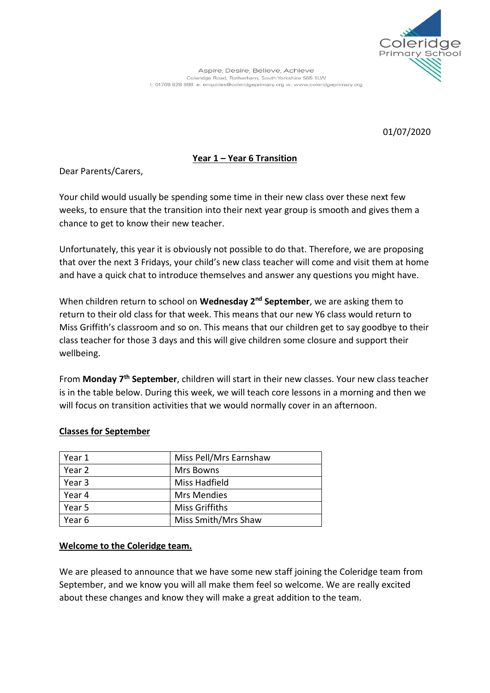

01/07/2020

## **Year 1 – Year 6 Transition**

Dear Parents/Carers,

Your child would usually be spending some time in their new class over these next few weeks, to ensure that the transition into their next year group is smooth and gives them a chance to get to know their new teacher.

Unfortunately, this year it is obviously not possible to do that. Therefore, we are proposing that over the next 3 Fridays, your child's new class teacher will come and visit them at home and have a quick chat to introduce themselves and answer any questions you might have.

When children return to school on **Wednesday 2nd September**, we are asking them to return to their old class for that week. This means that our new Y6 class would return to Miss Griffith's classroom and so on. This means that our children get to say goodbye to their class teacher for those 3 days and this will give children some closure and support their wellbeing.

From **Monday 7th September**, children will start in their new classes. Your new class teacher is in the table below. During this week, we will teach core lessons in a morning and then we will focus on transition activities that we would normally cover in an afternoon.

## **Classes for September**

| Year 1 | Miss Pell/Mrs Earnshaw |
|--------|------------------------|
| Year 2 | Mrs Bowns              |
| Year 3 | Miss Hadfield          |
| Year 4 | <b>Mrs Mendies</b>     |
| Year 5 | <b>Miss Griffiths</b>  |
| Year 6 | Miss Smith/Mrs Shaw    |

## **Welcome to the Coleridge team.**

We are pleased to announce that we have some new staff joining the Coleridge team from September, and we know you will all make them feel so welcome. We are really excited about these changes and know they will make a great addition to the team.